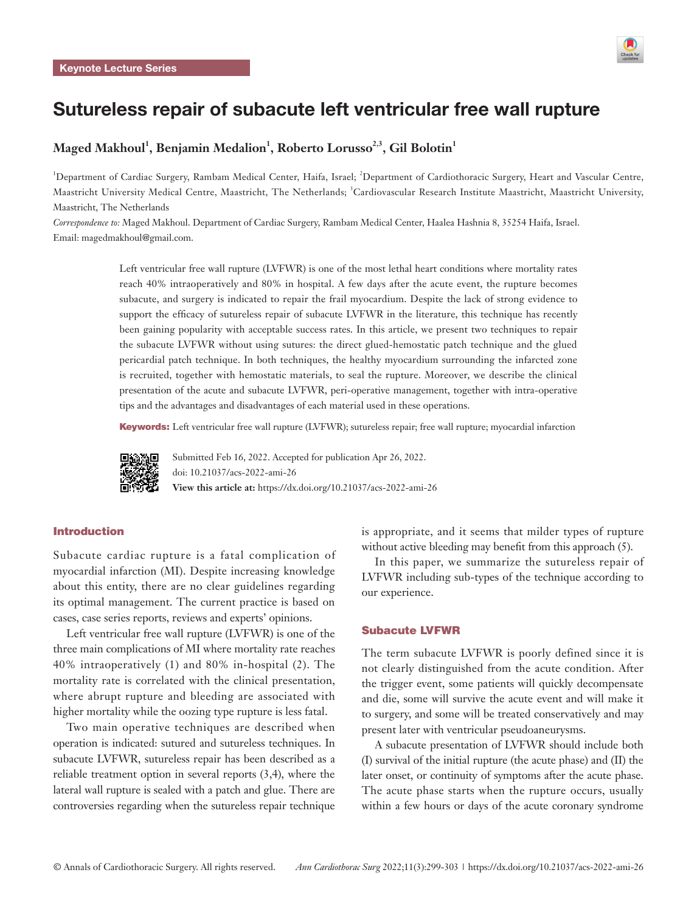

# Sutureless repair of subacute left ventricular free wall rupture

# $\mathbf{M}$ aged  $\mathbf{M}$ akhoul $^1$ , Benjamin Medalion $^1$ , Roberto Lorusso $^{2,3},$  Gil Bolotin $^1$

<sup>1</sup>Department of Cardiac Surgery, Rambam Medical Center, Haifa, Israel; <sup>2</sup>Department of Cardiothoracic Surgery, Heart and Vascular Centre, Maastricht University Medical Centre, Maastricht, The Netherlands; <sup>3</sup>Cardiovascular Research Institute Maastricht, Maastricht University, Maastricht, The Netherlands

*Correspondence to:* Maged Makhoul. Department of Cardiac Surgery, Rambam Medical Center, Haalea Hashnia 8, 35254 Haifa, Israel. Email: magedmakhoul@gmail.com.

> Left ventricular free wall rupture (LVFWR) is one of the most lethal heart conditions where mortality rates reach 40% intraoperatively and 80% in hospital. A few days after the acute event, the rupture becomes subacute, and surgery is indicated to repair the frail myocardium. Despite the lack of strong evidence to support the efficacy of sutureless repair of subacute LVFWR in the literature, this technique has recently been gaining popularity with acceptable success rates. In this article, we present two techniques to repair the subacute LVFWR without using sutures: the direct glued-hemostatic patch technique and the glued pericardial patch technique. In both techniques, the healthy myocardium surrounding the infarcted zone is recruited, together with hemostatic materials, to seal the rupture. Moreover, we describe the clinical presentation of the acute and subacute LVFWR, peri-operative management, together with intra-operative tips and the advantages and disadvantages of each material used in these operations.

> Keywords: Left ventricular free wall rupture (LVFWR); sutureless repair; free wall rupture; myocardial infarction



Submitted Feb 16, 2022. Accepted for publication Apr 26, 2022. doi: 10.21037/acs-2022-ami-26 **View this article at:** https://dx.doi.org/10.21037/acs-2022-ami-26

# Introduction

Subacute cardiac rupture is a fatal complication of myocardial infarction (MI). Despite increasing knowledge about this entity, there are no clear guidelines regarding its optimal management. The current practice is based on cases, case series reports, reviews and experts' opinions.

Left ventricular free wall rupture (LVFWR) is one of the three main complications of MI where mortality rate reaches 40% intraoperatively (1) and 80% in-hospital (2). The mortality rate is correlated with the clinical presentation, where abrupt rupture and bleeding are associated with higher mortality while the oozing type rupture is less fatal.

Two main operative techniques are described when operation is indicated: sutured and sutureless techniques. In subacute LVFWR, sutureless repair has been described as a reliable treatment option in several reports (3,4), where the lateral wall rupture is sealed with a patch and glue. There are controversies regarding when the sutureless repair technique

is appropriate, and it seems that milder types of rupture without active bleeding may benefit from this approach (5).

In this paper, we summarize the sutureless repair of LVFWR including sub-types of the technique according to our experience.

#### Subacute LVFWR

The term subacute LVFWR is poorly defined since it is not clearly distinguished from the acute condition. After the trigger event, some patients will quickly decompensate and die, some will survive the acute event and will make it to surgery, and some will be treated conservatively and may present later with ventricular pseudoaneurysms.

A subacute presentation of LVFWR should include both (I) survival of the initial rupture (the acute phase) and (II) the later onset, or continuity of symptoms after the acute phase. The acute phase starts when the rupture occurs, usually within a few hours or days of the acute coronary syndrome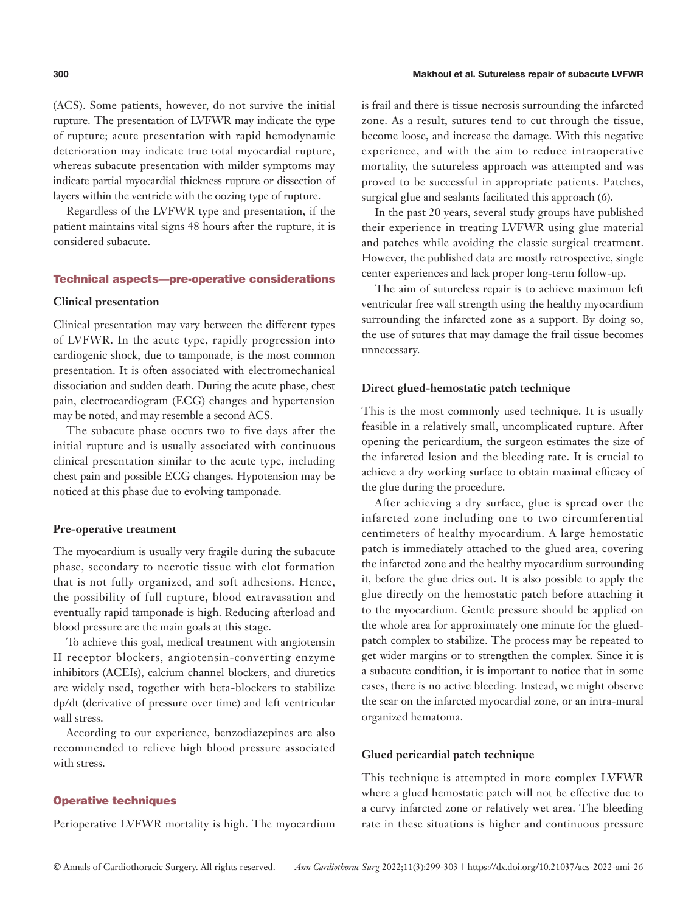#### **300** Makhoul et al. Sutureless repair of subacute LVFWR

(ACS). Some patients, however, do not survive the initial rupture. The presentation of LVFWR may indicate the type of rupture; acute presentation with rapid hemodynamic deterioration may indicate true total myocardial rupture, whereas subacute presentation with milder symptoms may indicate partial myocardial thickness rupture or dissection of layers within the ventricle with the oozing type of rupture.

Regardless of the LVFWR type and presentation, if the patient maintains vital signs 48 hours after the rupture, it is considered subacute.

# Technical aspects—pre-operative considerations

# **Clinical presentation**

Clinical presentation may vary between the different types of LVFWR. In the acute type, rapidly progression into cardiogenic shock, due to tamponade, is the most common presentation. It is often associated with electromechanical dissociation and sudden death. During the acute phase, chest pain, electrocardiogram (ECG) changes and hypertension may be noted, and may resemble a second ACS.

The subacute phase occurs two to five days after the initial rupture and is usually associated with continuous clinical presentation similar to the acute type, including chest pain and possible ECG changes. Hypotension may be noticed at this phase due to evolving tamponade.

#### **Pre-operative treatment**

The myocardium is usually very fragile during the subacute phase, secondary to necrotic tissue with clot formation that is not fully organized, and soft adhesions. Hence, the possibility of full rupture, blood extravasation and eventually rapid tamponade is high. Reducing afterload and blood pressure are the main goals at this stage.

To achieve this goal, medical treatment with angiotensin II receptor blockers, angiotensin-converting enzyme inhibitors (ACEIs), calcium channel blockers, and diuretics are widely used, together with beta-blockers to stabilize dp/dt (derivative of pressure over time) and left ventricular wall stress.

According to our experience, benzodiazepines are also recommended to relieve high blood pressure associated with stress.

## Operative techniques

Perioperative LVFWR mortality is high. The myocardium

is frail and there is tissue necrosis surrounding the infarcted zone. As a result, sutures tend to cut through the tissue, become loose, and increase the damage. With this negative experience, and with the aim to reduce intraoperative mortality, the sutureless approach was attempted and was proved to be successful in appropriate patients. Patches, surgical glue and sealants facilitated this approach (6).

In the past 20 years, several study groups have published their experience in treating LVFWR using glue material and patches while avoiding the classic surgical treatment. However, the published data are mostly retrospective, single center experiences and lack proper long-term follow-up.

The aim of sutureless repair is to achieve maximum left ventricular free wall strength using the healthy myocardium surrounding the infarcted zone as a support. By doing so, the use of sutures that may damage the frail tissue becomes unnecessary.

#### **Direct glued-hemostatic patch technique**

This is the most commonly used technique. It is usually feasible in a relatively small, uncomplicated rupture. After opening the pericardium, the surgeon estimates the size of the infarcted lesion and the bleeding rate. It is crucial to achieve a dry working surface to obtain maximal efficacy of the glue during the procedure.

After achieving a dry surface, glue is spread over the infarcted zone including one to two circumferential centimeters of healthy myocardium. A large hemostatic patch is immediately attached to the glued area, covering the infarcted zone and the healthy myocardium surrounding it, before the glue dries out. It is also possible to apply the glue directly on the hemostatic patch before attaching it to the myocardium. Gentle pressure should be applied on the whole area for approximately one minute for the gluedpatch complex to stabilize. The process may be repeated to get wider margins or to strengthen the complex. Since it is a subacute condition, it is important to notice that in some cases, there is no active bleeding. Instead, we might observe the scar on the infarcted myocardial zone, or an intra-mural organized hematoma.

#### **Glued pericardial patch technique**

This technique is attempted in more complex LVFWR where a glued hemostatic patch will not be effective due to a curvy infarcted zone or relatively wet area. The bleeding rate in these situations is higher and continuous pressure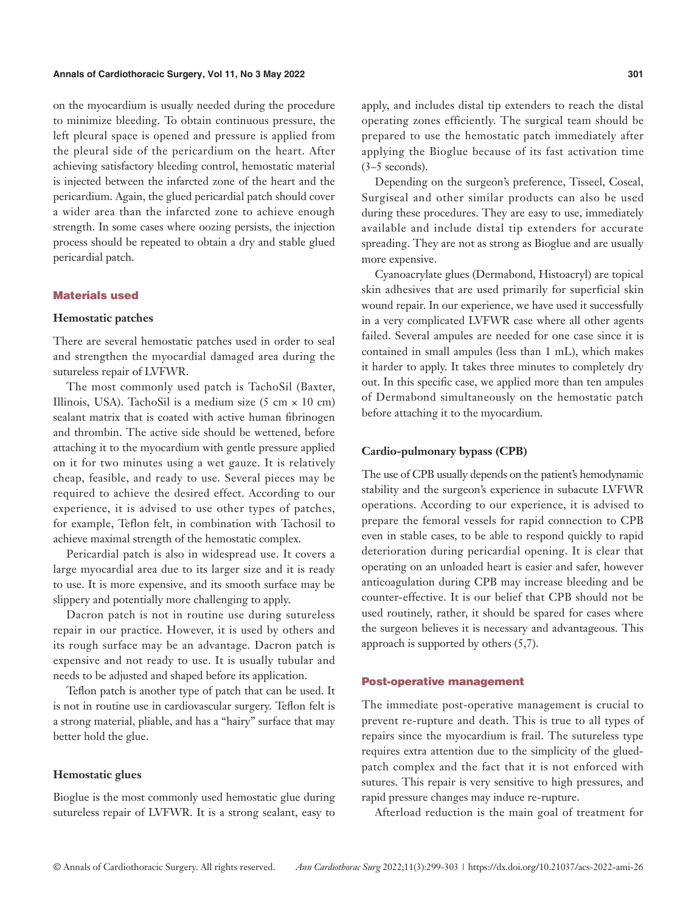#### **Annals of Cardiothoracic Surgery, Vol 11, No 3 May 2022 301**

on the myocardium is usually needed during the procedure to minimize bleeding. To obtain continuous pressure, the left pleural space is opened and pressure is applied from the pleural side of the pericardium on the heart. After achieving satisfactory bleeding control, hemostatic material is injected between the infarcted zone of the heart and the pericardium. Again, the glued pericardial patch should cover a wider area than the infarcted zone to achieve enough strength. In some cases where oozing persists, the injection process should be repeated to obtain a dry and stable glued pericardial patch.

#### Materials used

## **Hemostatic patches**

There are several hemostatic patches used in order to seal and strengthen the myocardial damaged area during the sutureless repair of LVFWR.

The most commonly used patch is TachoSil (Baxter, Illinois, USA). TachoSil is a medium size (5 cm  $\times$  10 cm) sealant matrix that is coated with active human fibrinogen and thrombin. The active side should be wettened, before attaching it to the myocardium with gentle pressure applied on it for two minutes using a wet gauze. It is relatively cheap, feasible, and ready to use. Several pieces may be required to achieve the desired effect. According to our experience, it is advised to use other types of patches, for example, Teflon felt, in combination with Tachosil to achieve maximal strength of the hemostatic complex.

Pericardial patch is also in widespread use. It covers a large myocardial area due to its larger size and it is ready to use. It is more expensive, and its smooth surface may be slippery and potentially more challenging to apply.

Dacron patch is not in routine use during sutureless repair in our practice. However, it is used by others and its rough surface may be an advantage. Dacron patch is expensive and not ready to use. It is usually tubular and needs to be adjusted and shaped before its application.

Teflon patch is another type of patch that can be used. It is not in routine use in cardiovascular surgery. Teflon felt is a strong material, pliable, and has a "hairy" surface that may better hold the glue.

#### **Hemostatic glues**

Bioglue is the most commonly used hemostatic glue during sutureless repair of LVFWR. It is a strong sealant, easy to apply, and includes distal tip extenders to reach the distal operating zones efficiently. The surgical team should be prepared to use the hemostatic patch immediately after applying the Bioglue because of its fast activation time  $(3-5$  seconds).

Depending on the surgeon's preference, Tisseel, Coseal, Surgiseal and other similar products can also be used during these procedures. They are easy to use, immediately available and include distal tip extenders for accurate spreading. They are not as strong as Bioglue and are usually more expensive.

Cyanoacrylate glues (Dermabond, Histoacryl) are topical skin adhesives that are used primarily for superficial skin wound repair. In our experience, we have used it successfully in a very complicated LVFWR case where all other agents failed. Several ampules are needed for one case since it is contained in small ampules (less than 1 mL), which makes it harder to apply. It takes three minutes to completely dry out. In this specific case, we applied more than ten ampules of Dermabond simultaneously on the hemostatic patch before attaching it to the myocardium.

#### **Cardio-pulmonary bypass (CPB)**

The use of CPB usually depends on the patient's hemodynamic stability and the surgeon's experience in subacute LVFWR operations. According to our experience, it is advised to prepare the femoral vessels for rapid connection to CPB even in stable cases, to be able to respond quickly to rapid deterioration during pericardial opening. It is clear that operating on an unloaded heart is easier and safer, however anticoagulation during CPB may increase bleeding and be counter-effective. It is our belief that CPB should not be used routinely, rather, it should be spared for cases where the surgeon believes it is necessary and advantageous. This approach is supported by others (5,7).

#### Post-operative management

The immediate post-operative management is crucial to prevent re-rupture and death. This is true to all types of repairs since the myocardium is frail. The sutureless type requires extra attention due to the simplicity of the gluedpatch complex and the fact that it is not enforced with sutures. This repair is very sensitive to high pressures, and rapid pressure changes may induce re-rupture.

Afterload reduction is the main goal of treatment for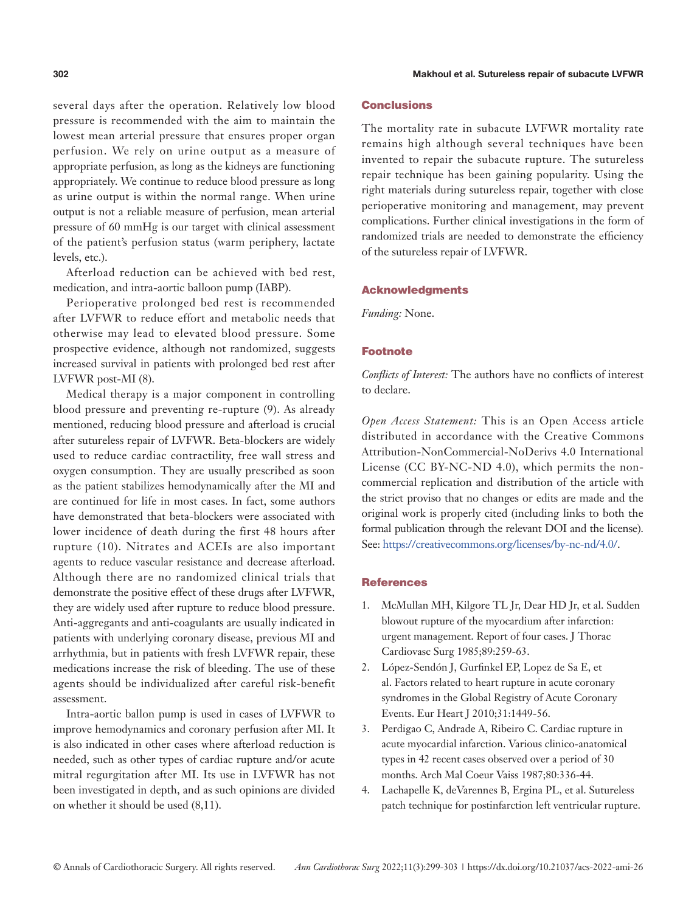several days after the operation. Relatively low blood pressure is recommended with the aim to maintain the lowest mean arterial pressure that ensures proper organ perfusion. We rely on urine output as a measure of appropriate perfusion, as long as the kidneys are functioning appropriately. We continue to reduce blood pressure as long as urine output is within the normal range. When urine output is not a reliable measure of perfusion, mean arterial pressure of 60 mmHg is our target with clinical assessment of the patient's perfusion status (warm periphery, lactate levels, etc.).

Afterload reduction can be achieved with bed rest, medication, and intra-aortic balloon pump (IABP).

Perioperative prolonged bed rest is recommended after LVFWR to reduce effort and metabolic needs that otherwise may lead to elevated blood pressure. Some prospective evidence, although not randomized, suggests increased survival in patients with prolonged bed rest after LVFWR post-MI (8).

Medical therapy is a major component in controlling blood pressure and preventing re-rupture (9). As already mentioned, reducing blood pressure and afterload is crucial after sutureless repair of LVFWR. Beta-blockers are widely used to reduce cardiac contractility, free wall stress and oxygen consumption. They are usually prescribed as soon as the patient stabilizes hemodynamically after the MI and are continued for life in most cases. In fact, some authors have demonstrated that beta-blockers were associated with lower incidence of death during the first 48 hours after rupture (10). Nitrates and ACEIs are also important agents to reduce vascular resistance and decrease afterload. Although there are no randomized clinical trials that demonstrate the positive effect of these drugs after LVFWR, they are widely used after rupture to reduce blood pressure. Anti-aggregants and anti-coagulants are usually indicated in patients with underlying coronary disease, previous MI and arrhythmia, but in patients with fresh LVFWR repair, these medications increase the risk of bleeding. The use of these agents should be individualized after careful risk-benefit assessment.

Intra-aortic ballon pump is used in cases of LVFWR to improve hemodynamics and coronary perfusion after MI. It is also indicated in other cases where afterload reduction is needed, such as other types of cardiac rupture and/or acute mitral regurgitation after MI. Its use in LVFWR has not been investigated in depth, and as such opinions are divided on whether it should be used (8,11).

# Conclusions

The mortality rate in subacute LVFWR mortality rate remains high although several techniques have been invented to repair the subacute rupture. The sutureless repair technique has been gaining popularity. Using the right materials during sutureless repair, together with close perioperative monitoring and management, may prevent complications. Further clinical investigations in the form of randomized trials are needed to demonstrate the efficiency of the sutureless repair of LVFWR.

#### Acknowledgments

*Funding:* None.

## Footnote

*Conflicts of Interest:* The authors have no conflicts of interest to declare.

*Open Access Statement:* This is an Open Access article distributed in accordance with the Creative Commons Attribution-NonCommercial-NoDerivs 4.0 International License (CC BY-NC-ND 4.0), which permits the noncommercial replication and distribution of the article with the strict proviso that no changes or edits are made and the original work is properly cited (including links to both the formal publication through the relevant DOI and the license). See: [https://creativecommons.org/licenses/by-nc-nd/4.0/.](https://creativecommons.org/licenses/by-nc-nd/4.0/)

# References

- 1. McMullan MH, Kilgore TL Jr, Dear HD Jr, et al. Sudden blowout rupture of the myocardium after infarction: urgent management. Report of four cases. J Thorac Cardiovasc Surg 1985;89:259-63.
- 2. López-Sendón J, Gurfinkel EP, Lopez de Sa E, et al. Factors related to heart rupture in acute coronary syndromes in the Global Registry of Acute Coronary Events. Eur Heart J 2010;31:1449-56.
- 3. Perdigao C, Andrade A, Ribeiro C. Cardiac rupture in acute myocardial infarction. Various clinico-anatomical types in 42 recent cases observed over a period of 30 months. Arch Mal Coeur Vaiss 1987;80:336-44.
- 4. Lachapelle K, deVarennes B, Ergina PL, et al. Sutureless patch technique for postinfarction left ventricular rupture.